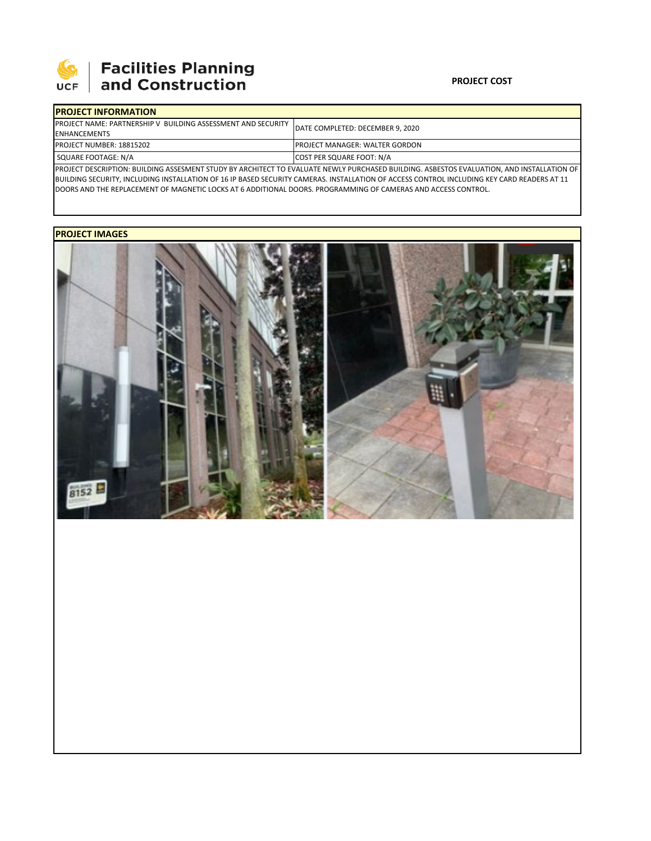

# **SEPTE AND Facilities Planning**<br>UCF and Construction

### **PROJECT COST**

| <b>IPROJECT INFORMATION</b>                                          |                                                                                                                                             |  |  |  |
|----------------------------------------------------------------------|---------------------------------------------------------------------------------------------------------------------------------------------|--|--|--|
| <b>IPROJECT NAME: PARTNERSHIP V BUILDING ASSESSMENT AND SECURITY</b> | DATE COMPLETED: DECEMBER 9. 2020                                                                                                            |  |  |  |
| <b>ENHANCEMENTS</b>                                                  |                                                                                                                                             |  |  |  |
| <b>PROJECT NUMBER: 18815202</b>                                      | <b>IPROJECT MANAGER: WALTER GORDON</b>                                                                                                      |  |  |  |
| SQUARE FOOTAGE: N/A                                                  | COST PER SQUARE FOOT: N/A                                                                                                                   |  |  |  |
|                                                                      | IBBOIECT BECCRIPTION, RUILBING ACCESATIVE CTUBY BY ARCHITECT TO EVALUATE NEWLY BURGHASED RUILBING. ASBESTOS EVALUATION, AND INSTALLATION OF |  |  |  |

PROJECT DESCRIPTION: BUILDING ASSESMENT STUDY BY ARCHITECT TO EVALUATE NEWLY PURCHASED BUILDING. ASBESTOS EVALUATION, AND INSTALLATION OF BUILDING SECURITY, INCLUDING INSTALLATION OF 16 IP BASED SECURITY CAMERAS. INSTALLATION OF ACCESS CONTROL INCLUDING KEY CARD READERS AT 11 DOORS AND THE REPLACEMENT OF MAGNETIC LOCKS AT 6 ADDITIONAL DOORS. PROGRAMMING OF CAMERAS AND ACCESS CONTROL.

## **PROJECT IMAGES**